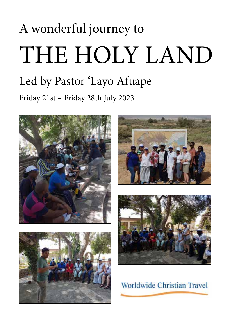# A wonderful journey to THE HOLY LAND Led by Pastor 'Layo Afuape Friday 21st – Friday 28th July 2023









Worldwide Christian Travel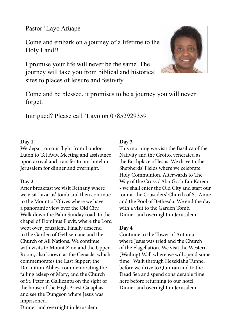Pastor 'Layo Afuape

Come and embark on a journey of a lifetime to the Holy Land!!

I promise your life will never be the same. The journey will take you from biblical and historical sites to places of leisure and festivity.



Come and be blessed, it promises to be a journey you will never forget.

Intrigued? Please call 'Layo on 07852929359

# **Day 1**

We depart on our flight from London Luton to Tel Aviv. Meeting and assistance upon arrival and transfer to our hotel in Jerusalem for dinner and overnight.

# **Day 2**

After breakfast we visit Bethany where we visit Lazarus' tomb and then continue to the Mount of Olives where we have a panoramic view over the Old City. Walk down the Palm Sunday road, to the chapel of Dominus Flevit, where the Lord wept over Jerusalem. Finally descend to the Garden of Gethsemane and the Church of All Nations. We continue with visits to Mount Zion and the Upper Room, also known as the Cenacle, which commemorates the Last Supper; the Dormition Abbey, commemorating the falling asleep of Mary; and the Church of St. Peter in Gallicantu on the sight of the house of the High Priest Caiaphas and see the Dungeon where Jesus was imprisoned.

Dinner and overnight in Jerusalem.

# **Day 3**

This morning we visit the Basilica of the Nativity and the Grotto, venerated as the Birthplace of Jesus. We drive to the Shepherds' Fields where we celebrate Holy Communion. Afterwards to The Way of the Cross / Abu Gosh Ein Karem - we shall enter the Old City and start our tour at the Crusaders' Church of St. Anne and the Pool of Bethesda. We end the day with a visit to the Garden Tomb. Dinner and overnight in Jerusalem.

# **Day 4**

Continue to the Tower of Antonia where Jesus was tried and the Church of the Flagellation. We visit the Western (Wailing) Wall where we will spend some time. Walk through Hezekiah's Tunnel before we drive to Qumran and to the Dead Sea and spend considerable time here before returning to our hotel. Dinner and overnight in Jerusalem.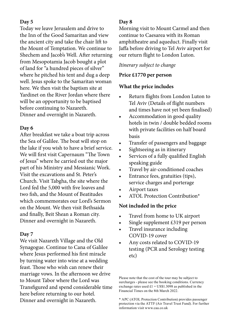## **Day 5**

Today we leave Jerusalem and drive to the Inn of the Good Samaritan and view the ancient city and take the chair lift to the Mount of Temptation. We continue to Shechem and Jacob's Well. After returning from Mesopotamia Jacob bought a plot of land for "a hundred pieces of silver" where he pitched his tent and dug a deep well. Jesus spoke to the Samaritan woman here. We then visit the baptism site at Yardinet on the River Jordan where there will be an opportunity to be baptised before continuing to Nazareth. Dinner and overnight in Nazareth.

## **Day 6**

After breakfast we take a boat trip across the Sea of Galilee. The boat will stop on the lake if you wish to have a brief service. We will first visit Capernaum "The Town of Jesus" where he carried out the major part of his Ministry and Messianic Work. Visit the excavations and St. Peter's Church. Visit Tabgha, the site where the Lord fed the 5,000 with five loaves and two fish, and the Mount of Beatitudes which commemorates our Lord's Sermon on the Mount. We then visit Bethsaida and finally, Beit Shean a Roman city. Dinner and overnight in Nazareth.

### **Day 7**

We visit Nazareth Village and the Old Synagogue. Continue to Cana of Galilee where Jesus performed his first miracle by turning water into wine at a wedding feast. Those who wish can renew their marriage vows. In the afternoon we drive to Mount Tabor where the Lord was Transfigured and spend considerable time here before returning to our hotel. Dinner and overnight in Nazareth.

# **Day 8**

Morning visit to Mount Carmel and then continue to Caesarea with its Roman amphitheatre and aqueduct. Finally visit Jaffa before driving to Tel Aviv airport for our return flight to London Luton.

# *Itinerary subject to change*

# **Price £1770 per person**

# **What the price includes**

- Return flights from London Luton to Tel Aviv (Details of flight numbers and times have not yet been finalised)
- Accommodation in good quality hotels in twin / double bedded rooms with private facilities on half board basis
- Transfer of passengers and baggage
- Sightseeing as in itinerary
- Services of a fully qualified English speaking guide
- Travel by air-conditioned coaches
- Entrance fees, gratuities (tips), service charges and porterage
- Airport taxes
- ATOL Protection Contribution\*

# **Not included in the price**

- Travel from home to UK airport
- Single supplement £319 per person
- Travel insurance including COVID-19 cover
- Any costs related to COVID-19 testing (PCR and Serology testing etc)

Please note that the cost of the tour may be subject to surcharges - please see the booking conditions. Currency exchange rates used  $£1 = US$1.3098$  as published in the Financial Times on the 8th March 2022.

\* APC (ATOL Protection Contribution) provides passenger protection via the ATTF (Air Travel Trust Fund). For further information visit www.caa.co.uk